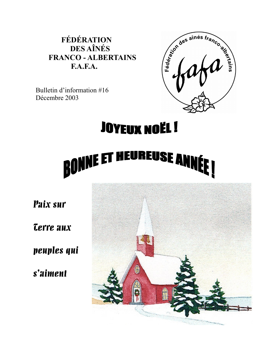# **FÉDÉRATION DES AÎNÉS FRANCO - ALBERTAINS**  $F.A.F.A.$



Bulletin d'information #16 Décembre 2003

# **JOYEUX NOËL!**



Paix sur

*<u>Cerre</u>* aux

peuples qui

s'aiment

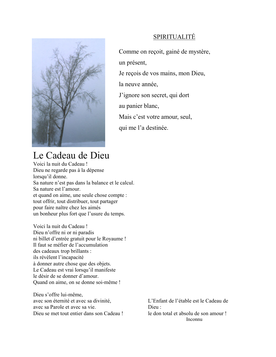

# SPIRITUALITÉ

Comme on reçoit, gainé de mystère, un présent, Je reçois de vos mains, mon Dieu, la neuve année. J'ignore son secret, qui dort au panier blanc, Mais c'est votre amour, seul, qui me l'a destinée.

# Le Cadeau de Dieu

Voici la nuit du Cadeau! Dieu ne regarde pas à la dépense lorsqu'il donne. Sa nature n'est pas dans la balance et le calcul. Sa nature est l'amour. et quand on aime, une seule chose compte : tout offrir, tout distribuer, tout partager pour faire naître chez les aimés un bonheur plus fort que l'usure du temps.

Voici la nuit du Cadeau! Dieu n'offre ni or ni paradis ni billet d'entrée gratuit pour le Royaume ! Il faut se méfier de l'accumulation des cadeaux trop brillants : ils révèlent l'incapacité à donner autre chose que des objets. Le Cadeau est vrai lorsqu'il manifeste le désir de se donner d'amour. Quand on aime, on se donne soi-même !

Dieu s'offre lui-même, avec son éternité et avec sa divinité. avec sa Parole et avec sa vie. Dieu se met tout entier dans son Cadeau !

L'Enfant de l'étable est le Cadeau de Dieu $\cdot$ le don total et absolu de son amour ! Inconnu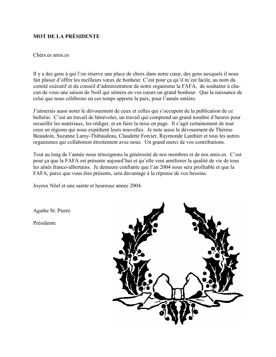# **MOT DE LA PRÉSIDENTE**

#### Chèrs es amis es

Il y a des gens à qui l'on réserve une place de choix dans notre cœur, des gens auxquels il nous fait plaisir d'offrir les meilleurs vœux de bonheur. C'est pour ça qu'il m'est facile, au nom du comité exécutif et du conseil d'administration de notre organisme la FAFA, de souhaiter à chacun de vous une saison de Noël qui sèmera en vos cœurs un grand bonheur. Que la naissance de celui que nous célébrons en ces temps apporte la paix, pour l'année entière.

J'aimerais aussi noter le dévouement de ceux et celles qui s'occupent de la publication de ce bulletin. C'est un travail de bénévoles, un travail qui comprend un grand nombre d'heures pour recueillir les matériaux, les rédiger, et en faire la mise en page. Il s'agit certainement de tout ceux en régions qui nous expédient leurs nouvelles. Je note aussi le dévouement de Thérèse Beaudoin, Suzanne Lamy-Thibaudeau, Claudette Forcier, Raymonde Lanthier et tous les autres organismes qui collaborent étroitement avec nous. Un grand merci de vos contributions.

Tout au long de l'année nous témoignons la générosité de nos membres et de nos amis es. C'est pour ça que la FAFA est présente aujourd'hui et qu'elle veut améliorer la qualité de vie de tous les aînés franco-albertains. Je demeure confiante que l'an 2004 nous sera profitable et que la FAFA, parce que vous êtes présents, sera davantage à la réponse de vos besoins.

Joyeux Nöel et une sainte et heureuse année 2004.

Agathe St. Pierre

Présidente

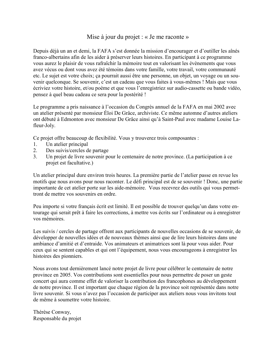# Mise à jour du projet : « Je me raconte »

Depuis déjà un an et demi, la FAFA s'est donnée la mission d'encourager et d'outiller les aînés franco-albertains afin de les aider à préserver leurs histoires. En participant à ce programme vous aurez le plaisir de vous rafraîchir la mémoire tout en valorisant les évènements que vous avez vécus ou dont vous avez été témoins dans votre famille, votre travail, votre communauté etc. Le sujet est votre choix; ca pourrait aussi être une personne, un objet, un voyage ou un souvenir quelconque. Se souvenir, c'est un cadeau que vous faites à vous-mêmes ! Mais que vous écriviez votre histoire, et/ou poème et que vous l'enregistriez sur audio-cassette ou bande vidéo, pensez à quel beau cadeau ce sera pour la postérité !

Le programme a pris naissance à l'occasion du Congrès annuel de la FAFA en mai 2002 avec un atelier présenté par monsieur Éloi De Grâce, archiviste. Ce même automne d'autres ateliers ont débuté à Edmonton avec monsieur De Grâce ainsi qu'à Saint-Paul avec madame Louise Lafleur-Joly.

Ce projet offre beaucoup de flexibilité. Vous y trouverez trois composantes :

- Un atelier principal  $1_{-}$
- $\overline{2}$ . Des suivis/cercles de partage
- Un projet de livre souvenir pour le centenaire de notre province. (La participation à ce  $\mathcal{E}$ projet est facultative.)

Un atelier principal dure environ trois heures. La première partie de l'atelier passe en revue les motifs que nous avons pour nous raconter. Le défi principal est de se souvenir ! Donc, une partie importante de cet atelier porte sur les aide-mémoire. Vous recevrez des outils qui vous permettront de mettre vos souvenirs en ordre.

Peu importe si votre français écrit est limité. Il est possible de trouver quelqu'un dans votre entourage qui serait prêt à faire les corrections, à mettre vos écrits sur l'ordinateur ou à enregistrer vos mémoires.

Les suivis / cercles de partage offrent aux participants de nouvelles occasions de se souvenir, de développer de nouvelles idées et de nouveaux thèmes ainsi que de lire leurs histoires dans une ambiance d'amitié et d'entraide. Vos animateurs et animatrices sont là pour vous aider. Pour ceux qui se sentent capables et qui ont l'équipement, nous vous encourageons à enregistrer les histoires des pionniers.

Nous avons tout dernièrement lancé notre projet de livre pour célébrer le centenaire de notre province en 2005. Vos contributions sont essentielles pour nous permettre de poser un geste concert qui aura comme effet de valoriser la contribution des francophones au développement de notre province. Il est important que chaque région de la province soit représentée dans notre livre souvenir. Si vous n'avez pas l'occasion de participer aux ateliers nous vous invitons tout de même à soumettre votre histoire.

Thérèse Conway, Responsable du projet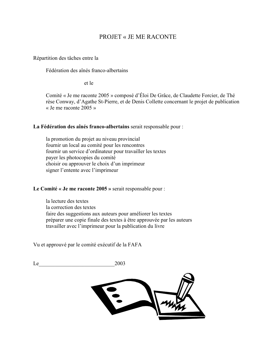# **PROJET « JE ME RACONTE**

Répartition des tâches entre la

Fédération des aînés franco-albertains

et le

Comité « Je me raconte 2005 » composé d'Éloi De Grâce, de Claudette Forcier, de Thé rèse Conway, d'Agathe St-Pierre, et de Denis Collette concernant le projet de publication « Je me raconte  $2005 \times$ 

#### La Fédération des aînés franco-albertains serait responsable pour :

la promotion du projet au niveau provincial fournir un local au comité pour les rencontres fournir un service d'ordinateur pour travailler les textes payer les photocopies du comité choisir ou approuver le choix d'un imprimeur signer l'entente avec l'imprimeur

#### Le Comité « Je me raconte 2005 » serait responsable pour :

la lecture des textes la correction des textes faire des suggestions aux auteurs pour améliorer les textes préparer une copie finale des textes à être approuvée par les auteurs travailler avec l'imprimeur pour la publication du livre

Vu et approuvé par le comité exécutif de la FAFA

2003 Le

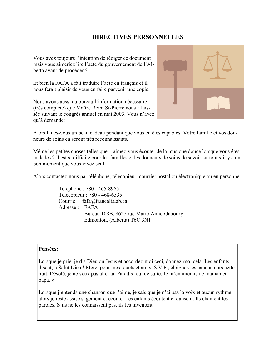# **DIRECTIVES PERSONNELLES**

Vous avez toujours l'intention de rédiger ce document mais vous aimeriez lire l'acte du gouvernement de l'Alberta avant de procéder ?

Et bien la FAFA a fait traduire l'acte en français et il nous ferait plaisir de vous en faire parvenir une copie.

Nous avons aussi au bureau l'information nécessaire (très complète) que Maître Rémi St-Pierre nous a laissée suivant le congrès annuel en mai 2003. Vous n'avez qu'à demander.



Alors faites-vous un beau cadeau pendant que vous en êtes capables. Votre famille et vos donneurs de soins en seront très reconnaissants.

Même les petites choses telles que : aimez-vous écouter de la musique douce lorsque vous êtes malades ? Il est si difficile pour les familles et les donneurs de soins de savoir surtout s'il y a un bon moment que vous vivez seul.

Alors contactez-nous par téléphone, télécopieur, courrier postal ou électronique ou en personne.

Téléphone : 780 - 465-8965 Télécopieur : 780 - 468-6535 Courriel : fafa@francalta.ab.ca Adresse : FAFA Bureau 108B, 8627 rue Marie-Anne-Gaboury Edmonton, (Alberta) T6C 3N1

## Pensées:

Lorsque je prie, je dis Dieu ou Jésus et accordez-moi ceci, donnez-moi cela. Les enfants disent, « Salut Dieu ! Merci pour mes jouets et amis. S.V.P., éloignez les cauchemars cette nuit. Désolé, je ne veux pas aller au Paradis tout de suite. Je m'ennuierais de maman et papa.»

Lorsque j'entends une chanson que j'aime, je sais que je n'ai pas la voix et aucun rythme alors je reste assise sagement et écoute. Les enfants écoutent et dansent. Ils chantent les paroles. S'ils ne les connaissent pas, ils les inventent.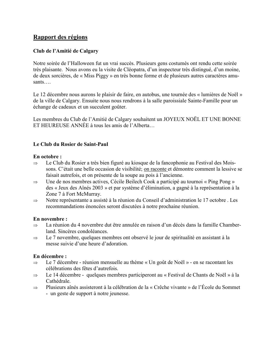# Rapport des régions

# Club de l'Amitié de Calgary

Notre soirée de l'Halloween fut un vrai succès. Plusieurs gens costumés ont rendu cette soirée très plaisante. Nous avons eu la visite de Cléopatra, d'un inspecteur très distingué, d'un moine, de deux sorcières, de « Miss Piggy » en très bonne forme et de plusieurs autres caractères amusants...

Le 12 décembre nous aurons le plaisir de faire, en autobus, une tournée des « lumières de Noël » de la ville de Calgary. Ensuite nous nous rendrons à la salle paroissiale Sainte-Famille pour un échange de cadeaux et un succulent goûter.

Les membres du Club de l'Amitié de Calgary souhaitent un JOYEUX NOËL ET UNE BONNE ET HEUREUSE ANNÉE à tous les amis de l'Alberta

# Le Club du Rosier de Saint-Paul

#### En octobre :

- Le Club du Rosier a très bien figuré au kiosque de la fancophonie au Festival des Mois- $\Rightarrow$ sons. C'était une belle occasion de visibilité; on raconte et démontre comment la lessive se faisait autrefois, et on présente de la soupe au pois à l'ancienne.
- Une de nos membres actives, Cécile Beilech Cook a participé au tournoi « Ping Pong »  $\Rightarrow$ des « Jeux des Aînés 2003 » et par système d'élimination, a gagné à la représentation à la Zone 7 à Fort McMurray.
- Notre représentante a assisté à la réunion du Conseil d'administration le 17 octobre. Les  $\Rightarrow$ recommandations énoncées seront discutées à notre prochaine réunion.

#### En novembre :

- La réunion du 4 novembre dut être annulée en raison d'un décès dans la famille Chamber- $\Rightarrow$ land. Sincères condoléances.
- Le 7 novembre, quelques membres ont observé le jour de spiritualité en assistant à la  $\Rightarrow$ messe suivie d'une heure d'adoration.

#### En décembre :

- Le 7 décembre réunion mensuelle au thème « Un goût de Noël » en se racontant les  $\Rightarrow$ célébrations des fêtes d'autrefois.
- Le 14 décembre quelques membres participeront au « Festival de Chants de Noël » à la  $\Rightarrow$ Cathédrale.
- Plusieurs aînés assisteront à la célébration de la « Crêche vivante » de l'École du Sommet  $\Rightarrow$ 
	- un geste de support à notre jeunesse.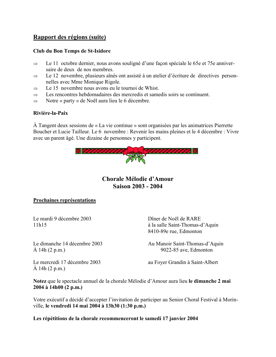# Rapport des régions (suite)

## Club du Bon Temps de St-Isidore

- Le 11 octobre dernier, nous avons souligné d'une facon spéciale le 65e et 75e anniver- $\Rightarrow$ saire de deux de nos membres.
- Le 12 novembre, plusieurs aînés ont assisté à un atelier d'écriture de directives person- $\Rightarrow$ nelles avec Mme Monique Rigole.
- Le 15 novembre nous avons eu le tournoi de Whist.  $\Rightarrow$
- Les rencontres hebdomadaires des mercredis et samedis soirs se continuent.  $\Rightarrow$
- Notre « party » de Noël aura lieu le 6 décembre.  $\Rightarrow$

## Rivière-la-Paix

À Tangent deux sessions de « La vie continue » sont organisées par les animatrices Pierrette Boucher et Lucie Tailleur. Le 6 novembre : Revenir les mains pleines et le 4 décembre : Vivre avec un parent âgé. Une dizaine de personnes y participent.



# Chorale Mélodie d'Amour **Saison 2003 - 2004**

#### Prochaines représentations

Le mardi 9 décembre 2003  $11h15$ 

Dîner de Noël de RARE à la salle Saint-Thomas-d'Aquin 8410-89e rue, Edmonton

Le dimanche 14 décembre 2003  $\AA$  14h (2 p.m.)

Au Manoir Saint-Thomas-d'Aquin 9022-85 ave, Edmonton

Le mercredi 17 décembre 2003  $\AA$  14h (2 p.m.)

au Foyer Grandin à Saint-Albert

Notez que le spectacle annuel de la chorale Mélodie d'Amour aura lieu le dimanche 2 mai 2004 à 14h00 (2 p.m.)

Votre exécutif a décidé d'accepter l'invitation de participer au Senior Choral Festival à Morinville, le vendredi 14 mai 2004 à 13h30 (1:30 p.m.)

Les répétitions de la chorale recommenceront le samedi 17 janvier 2004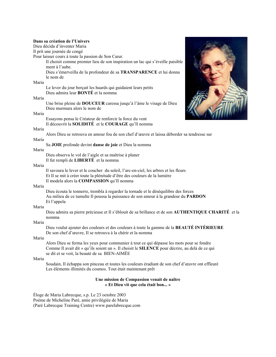| Dans sa création de l'Univers              |                                                                                                     |
|--------------------------------------------|-----------------------------------------------------------------------------------------------------|
| Dieu décida d'inventer Maria               |                                                                                                     |
|                                            | Il prit une journée de congé                                                                        |
|                                            | Pour laisser cours à toute la passion de Son Cœur.                                                  |
|                                            | Il choisit comme premier lieu de son inspiration un lac qui s'éveille paisible                      |
|                                            | ment à l'aube.                                                                                      |
|                                            | Dieu s'émerveilla de la profondeur de sa TRANSPARENCE et lui donna                                  |
|                                            | le nom de                                                                                           |
| Maria                                      |                                                                                                     |
|                                            | Le lever du jour berçait les huards qui guidaient leurs petits                                      |
|                                            | Dieu admira leur <b>BONTÉ</b> et la nomma                                                           |
| Maria                                      |                                                                                                     |
|                                            | Une brise pleine de <b>DOUCEUR</b> caressa jusqu'à l'âme le visage de Dieu                          |
|                                            | Dieu murmura alors le nom de                                                                        |
| Maria                                      |                                                                                                     |
|                                            | Essayons pensa le Créateur de renforcir la force du vent                                            |
|                                            | Il découvrit la SOLIDITÉ et le COURAGE qu'Il nomma                                                  |
| Maria                                      |                                                                                                     |
| Maria                                      | Alors Dieu se retrouva en amour fou de son chef d'œuvre et laissa déborder sa tendresse sur         |
|                                            | Sa JOIE profonde devint danse de joie et Dieu la nomma                                              |
| Maria                                      |                                                                                                     |
|                                            | Dieu observa le vol de l'aigle et sa maîtrise à planer                                              |
|                                            | Il fut rempli de LIBERTÉ et la nomma                                                                |
| Maria                                      |                                                                                                     |
|                                            | Il savoura le lever et le coucher du soleil, l'arc-en-ciel, les arbres et les fleurs                |
|                                            | Et Il se mit à créer toute la plénitude d'être des couleurs de la lumière                           |
|                                            | Il modela alors la COMPASSION qu'Il nomma                                                           |
| Maria                                      |                                                                                                     |
|                                            | Dieu écouta le tonnerre, trembla à regarder la tornade et le déséquilibre des forces                |
|                                            | Au milieu de ce tumulte Il poussa la puissance de son amour à la grandeur du PARDON                 |
|                                            | Et l'appela                                                                                         |
| Maria                                      |                                                                                                     |
|                                            | Dieu admira sa pierre précieuse et Il s'éblouit de sa brillance et de son AUTHENTIQUE CHARITÉ et la |
|                                            | nomma                                                                                               |
| Maria                                      |                                                                                                     |
|                                            | Dieu voulut ajouter des couleurs et des couleurs à toute la gamme de la BEAUTÉ INTÉRIEURE           |
|                                            | De son chef d'œuvre, Il se retrouva à la chérir et la nomma                                         |
| Maria                                      |                                                                                                     |
|                                            | Alors Dieu se ferma les yeux pour communier à tout ce qui dépasse les mots pour se fondre           |
|                                            | Comme Il avait dit « qu'ils soient un ». Il choisit le SILENCE pour décrire, au delà de ce qui      |
|                                            | se dit et se voit, la beauté de sa BIEN-AIMÉE                                                       |
| Maria                                      |                                                                                                     |
|                                            | Soudain, Il échappa son pinceau et toutes les couleurs éradiant de son chef d'œuvre ont effleuré    |
|                                            | Les éléments illimités du cosmos. Tout était maintenant prêt                                        |
|                                            |                                                                                                     |
| Une mission de Compassion venait de naître |                                                                                                     |
| « Et Dieu vit que cela était bon »         |                                                                                                     |

Éloge de Maria Labrecque, s.p. Le 23 octobre 2003<br>Poème de Micheline Paré, amie privilégiée de Maria<br>(Paré Labrecque Training Centre) www.parelabrecque.com